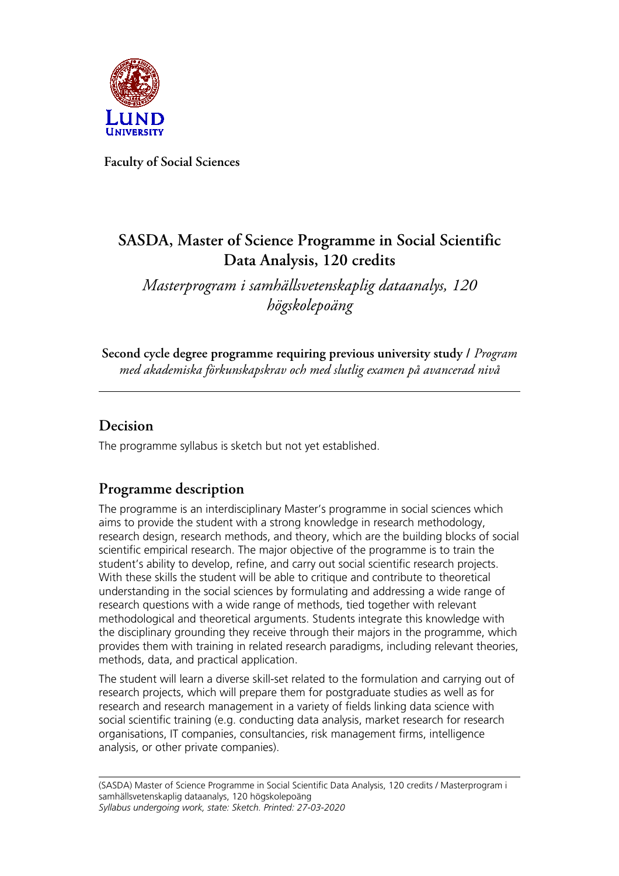

**Faculty of Social Sciences**

# **SASDA, Master of Science Programme in Social Scientific Data Analysis, 120 credits**

*Masterprogram i samhällsvetenskaplig dataanalys, 120 högskolepoäng*

**Second cycle degree programme requiring previous university study /** *Program med akademiska förkunskapskrav och med slutlig examen på avancerad nivå*

### **Decision**

The programme syllabus is sketch but not yet established.

### **Programme description**

The programme is an interdisciplinary Master's programme in social sciences which aims to provide the student with a strong knowledge in research methodology, research design, research methods, and theory, which are the building blocks of social scientific empirical research. The major objective of the programme is to train the student's ability to develop, refine, and carry out social scientific research projects. With these skills the student will be able to critique and contribute to theoretical understanding in the social sciences by formulating and addressing a wide range of research questions with a wide range of methods, tied together with relevant methodological and theoretical arguments. Students integrate this knowledge with the disciplinary grounding they receive through their majors in the programme, which provides them with training in related research paradigms, including relevant theories, methods, data, and practical application.

The student will learn a diverse skill-set related to the formulation and carrying out of research projects, which will prepare them for postgraduate studies as well as for research and research management in a variety of fields linking data science with social scientific training (e.g. conducting data analysis, market research for research organisations, IT companies, consultancies, risk management firms, intelligence analysis, or other private companies).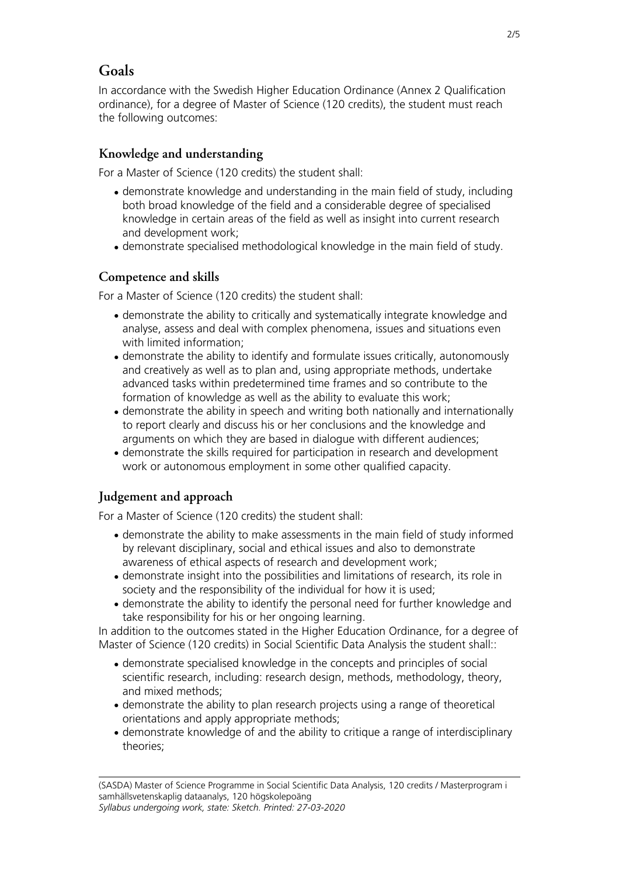### **Goals**

In accordance with the Swedish Higher Education Ordinance (Annex 2 Qualification ordinance), for a degree of Master of Science (120 credits), the student must reach the following outcomes:

#### **Knowledge and understanding**

For a Master of Science (120 credits) the student shall:

- demonstrate knowledge and understanding in the main field of study, including both broad knowledge of the field and a considerable degree of specialised knowledge in certain areas of the field as well as insight into current research and development work;
- demonstrate specialised methodological knowledge in the main field of study.

#### **Competence and skills**

For a Master of Science (120 credits) the student shall:

- demonstrate the ability to critically and systematically integrate knowledge and analyse, assess and deal with complex phenomena, issues and situations even with limited information;
- demonstrate the ability to identify and formulate issues critically, autonomously and creatively as well as to plan and, using appropriate methods, undertake advanced tasks within predetermined time frames and so contribute to the formation of knowledge as well as the ability to evaluate this work;
- demonstrate the ability in speech and writing both nationally and internationally to report clearly and discuss his or her conclusions and the knowledge and arguments on which they are based in dialogue with different audiences;
- demonstrate the skills required for participation in research and development work or autonomous employment in some other qualified capacity.

#### **Judgement and approach**

For a Master of Science (120 credits) the student shall:

- demonstrate the ability to make assessments in the main field of study informed by relevant disciplinary, social and ethical issues and also to demonstrate awareness of ethical aspects of research and development work;
- demonstrate insight into the possibilities and limitations of research, its role in society and the responsibility of the individual for how it is used;
- demonstrate the ability to identify the personal need for further knowledge and take responsibility for his or her ongoing learning.

In addition to the outcomes stated in the Higher Education Ordinance, for a degree of Master of Science (120 credits) in Social Scientific Data Analysis the student shall::

- demonstrate specialised knowledge in the concepts and principles of social scientific research, including: research design, methods, methodology, theory, and mixed methods;
- demonstrate the ability to plan research projects using a range of theoretical orientations and apply appropriate methods;
- demonstrate knowledge of and the ability to critique a range of interdisciplinary theories;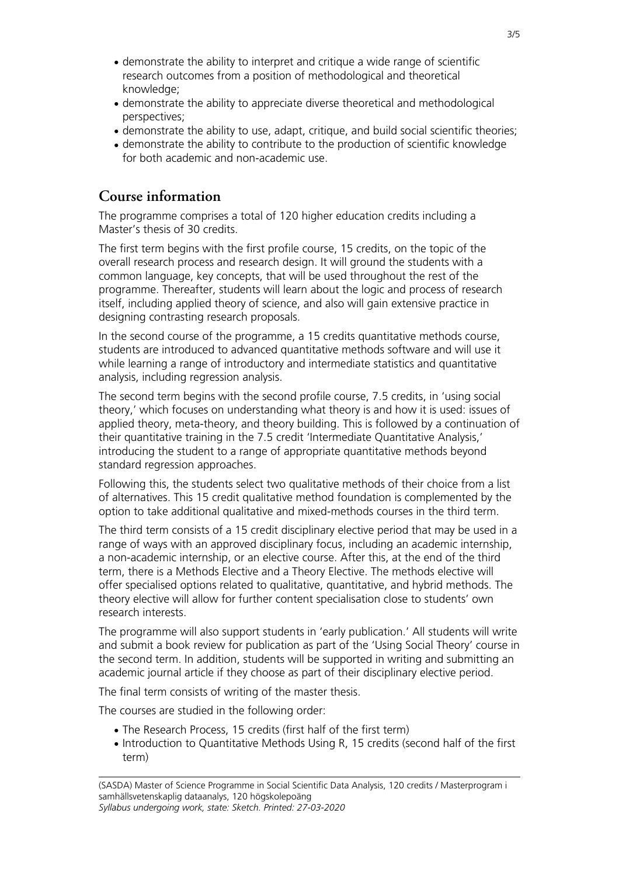- demonstrate the ability to interpret and critique a wide range of scientific research outcomes from a position of methodological and theoretical knowledge;
- demonstrate the ability to appreciate diverse theoretical and methodological perspectives;
- demonstrate the ability to use, adapt, critique, and build social scientific theories;
- demonstrate the ability to contribute to the production of scientific knowledge for both academic and non-academic use.

### **Course information**

The programme comprises a total of 120 higher education credits including a Master's thesis of 30 credits.

The first term begins with the first profile course, 15 credits, on the topic of the overall research process and research design. It will ground the students with a common language, key concepts, that will be used throughout the rest of the programme. Thereafter, students will learn about the logic and process of research itself, including applied theory of science, and also will gain extensive practice in designing contrasting research proposals.

In the second course of the programme, a 15 credits quantitative methods course, students are introduced to advanced quantitative methods software and will use it while learning a range of introductory and intermediate statistics and quantitative analysis, including regression analysis.

The second term begins with the second profile course, 7.5 credits, in 'using social theory,' which focuses on understanding what theory is and how it is used: issues of applied theory, meta-theory, and theory building. This is followed by a continuation of their quantitative training in the 7.5 credit 'Intermediate Quantitative Analysis,' introducing the student to a range of appropriate quantitative methods beyond standard regression approaches.

Following this, the students select two qualitative methods of their choice from a list of alternatives. This 15 credit qualitative method foundation is complemented by the option to take additional qualitative and mixed-methods courses in the third term.

The third term consists of a 15 credit disciplinary elective period that may be used in a range of ways with an approved disciplinary focus, including an academic internship, a non-academic internship, or an elective course. After this, at the end of the third term, there is a Methods Elective and a Theory Elective. The methods elective will offer specialised options related to qualitative, quantitative, and hybrid methods. The theory elective will allow for further content specialisation close to students' own research interests.

The programme will also support students in 'early publication.' All students will write and submit a book review for publication as part of the 'Using Social Theory' course in the second term. In addition, students will be supported in writing and submitting an academic journal article if they choose as part of their disciplinary elective period.

The final term consists of writing of the master thesis.

The courses are studied in the following order:

- The Research Process, 15 credits (first half of the first term)
- Introduction to Quantitative Methods Using R, 15 credits (second half of the first term)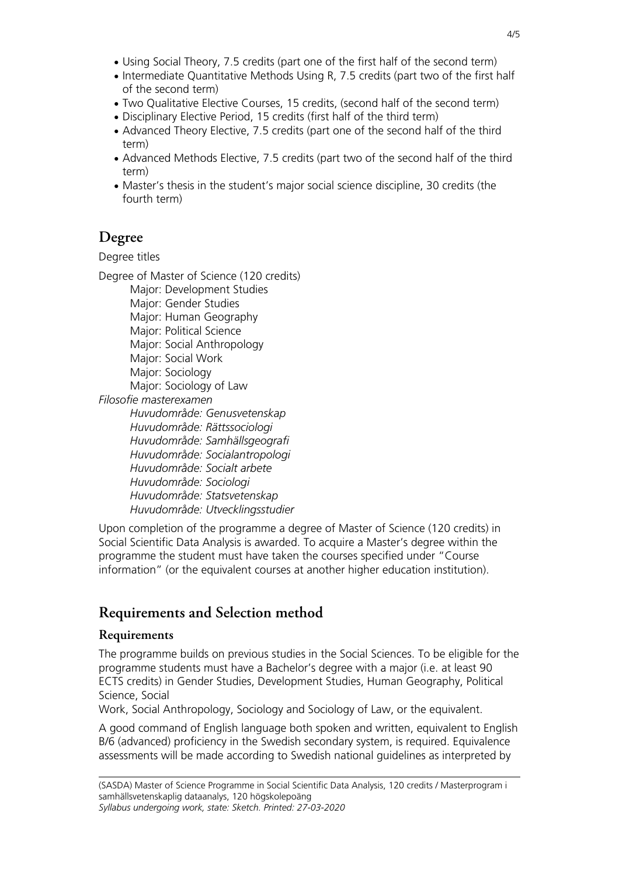- Using Social Theory, 7.5 credits (part one of the first half of the second term)
- Intermediate Quantitative Methods Using R, 7.5 credits (part two of the first half of the second term)
- Two Qualitative Elective Courses, 15 credits, (second half of the second term)
- Disciplinary Elective Period, 15 credits (first half of the third term)
- Advanced Theory Elective, 7.5 credits (part one of the second half of the third term)
- Advanced Methods Elective, 7.5 credits (part two of the second half of the third term)
- Master's thesis in the student's major social science discipline, 30 credits (the fourth term)

### **Degree**

Degree titles

Degree of Master of Science (120 credits)

Major: Development Studies Major: Gender Studies Major: Human Geography Major: Political Science Major: Social Anthropology Major: Social Work Major: Sociology Major: Sociology of Law *Filosofie masterexamen Huvudområde: Genusvetenskap Huvudområde: Rättssociologi Huvudområde: Samhällsgeografi Huvudområde: Socialantropologi Huvudområde: Socialt arbete Huvudområde: Sociologi Huvudområde: Statsvetenskap Huvudområde: Utvecklingsstudier*

Upon completion of the programme a degree of Master of Science (120 credits) in Social Scientific Data Analysis is awarded. To acquire a Master's degree within the programme the student must have taken the courses specified under "Course information" (or the equivalent courses at another higher education institution).

## **Requirements and Selection method**

#### **Requirements**

The programme builds on previous studies in the Social Sciences. To be eligible for the programme students must have a Bachelor's degree with a major (i.e. at least 90 ECTS credits) in Gender Studies, Development Studies, Human Geography, Political Science, Social

Work, Social Anthropology, Sociology and Sociology of Law, or the equivalent.

A good command of English language both spoken and written, equivalent to English B/6 (advanced) proficiency in the Swedish secondary system, is required. Equivalence assessments will be made according to Swedish national guidelines as interpreted by